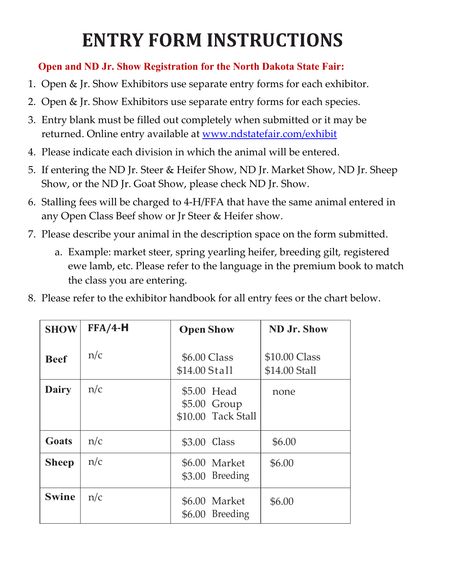## **ENTRY FORM INSTRUCTIONS**

## **Open and ND Jr. Show Registration for the North Dakota State Fair:**

- 1. Open & Jr. Show Exhibitors use separate entry forms for each exhibitor.
- 2. Open & Jr. Show Exhibitors use separate entry forms for each species.
- 3. Entry blank must be filled out completely when submitted or it may be returned. Online entry available at [www.ndstatefair.com/exhibit](http://www.ndstatefair.com/exhibit)
- 4. Please indicate each division in which the animal will be entered.
- 5. If entering the ND Jr. Steer & Heifer Show, ND Jr. Market Show, ND Jr. Sheep Show, or the ND Jr. Goat Show, please check ND Jr. Show.
- 6. Stalling fees will be charged to 4-H/FFA that have the same animal entered in any Open Class Beef show or Jr Steer & Heifer show.
- 7. Please describe your animal in the description space on the form submitted.
	- a. Example: market steer, spring yearling heifer, breeding gilt, registered ewe lamb, etc. Please refer to the language in the premium book to match the class you are entering.
- 8. Please refer to the exhibitor handbook for all entry fees or the chart below.

| <b>SHOW</b>  | $FFA/4-H$ | <b>Open Show</b>                                  | <b>ND Jr. Show</b>             |
|--------------|-----------|---------------------------------------------------|--------------------------------|
| <b>Beef</b>  | n/c       | \$6.00 Class<br>\$14.00 Stall                     | \$10.00 Class<br>\$14.00 Stall |
| <b>Dairy</b> | n/c       | \$5.00 Head<br>\$5.00 Group<br>\$10.00 Tack Stall | none                           |
| Goats        | n/c       | \$3.00 Class                                      | \$6.00                         |
| <b>Sheep</b> | n/c       | \$6.00 Market<br>\$3.00 Breeding                  | \$6.00                         |
| <b>Swine</b> | n/c       | \$6.00 Market<br>\$6.00 Breeding                  | \$6.00                         |